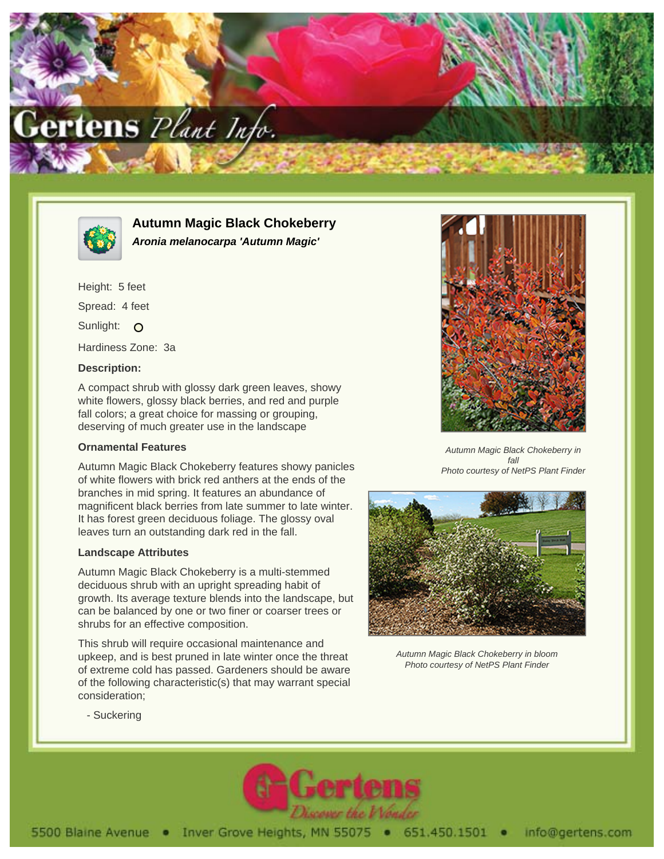



**Autumn Magic Black Chokeberry Aronia melanocarpa 'Autumn Magic'**

Height: 5 feet Spread: 4 feet Sunlight: O Hardiness Zone: 3a

## **Description:**

A compact shrub with glossy dark green leaves, showy white flowers, glossy black berries, and red and purple fall colors; a great choice for massing or grouping, deserving of much greater use in the landscape

## **Ornamental Features**

Autumn Magic Black Chokeberry features showy panicles of white flowers with brick red anthers at the ends of the branches in mid spring. It features an abundance of magnificent black berries from late summer to late winter. It has forest green deciduous foliage. The glossy oval leaves turn an outstanding dark red in the fall.

## **Landscape Attributes**

Autumn Magic Black Chokeberry is a multi-stemmed deciduous shrub with an upright spreading habit of growth. Its average texture blends into the landscape, but can be balanced by one or two finer or coarser trees or shrubs for an effective composition.

This shrub will require occasional maintenance and upkeep, and is best pruned in late winter once the threat of extreme cold has passed. Gardeners should be aware of the following characteristic(s) that may warrant special consideration;



Autumn Magic Black Chokeberry in fall Photo courtesy of NetPS Plant Finder



Autumn Magic Black Chokeberry in bloom Photo courtesy of NetPS Plant Finder

- Suckering